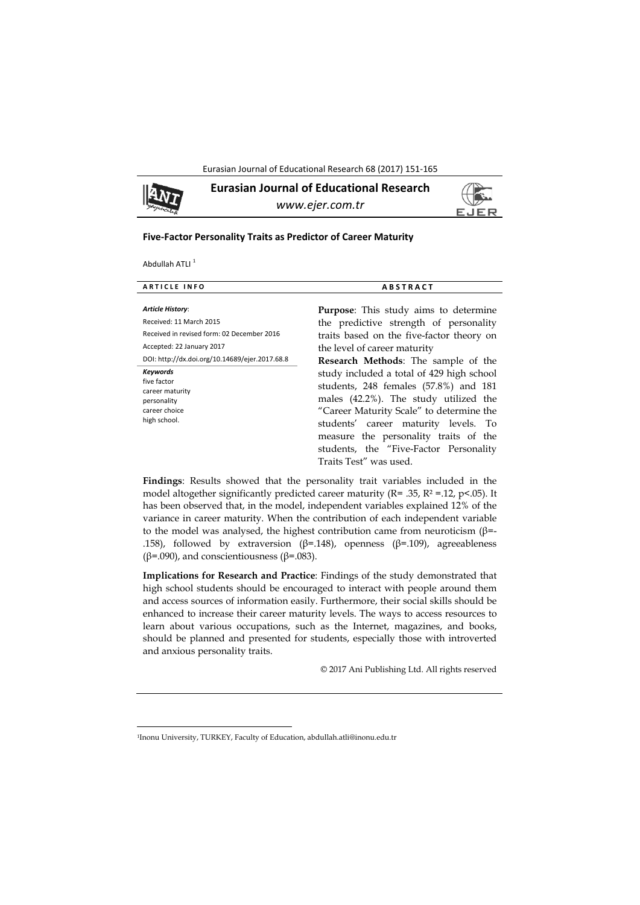Eurasian Journal of Educational Research 68 (2017) 151-165



**Eurasian Journal of Educational Research**  *www.ejer.com.tr* 



### **Five‐Factor Personality Traits as Predictor of Career Maturity**

Abdullah ATLI<sup>1</sup>

 $\overline{\phantom{a}}$ 

| <b>Article History:</b><br><b>Purpose:</b> This study aims to determine<br>Received: 11 March 2015<br>the predictive strength of personality<br>Received in revised form: 02 December 2016<br>traits based on the five-factor theory on<br>Accepted: 22 January 2017<br>the level of career maturity<br>DOI: http://dx.doi.org/10.14689/ejer.2017.68.8<br><b>Research Methods:</b> The sample of the<br><b>Keywords</b><br>study included a total of 429 high school<br>five factor<br>students, 248 females (57.8%) and 181<br>career maturity<br>males (42.2%). The study utilized the<br>personality<br>"Career Maturity Scale" to determine the<br>career choice<br>high school.<br>students' career maturity levels. To<br>measure the personality traits of the<br>students, the "Five-Factor Personality<br>Traits Test" was used. | <b>ARTICLE INFO</b> | <b>ABSTRACT</b> |  |  |  |  |
|-------------------------------------------------------------------------------------------------------------------------------------------------------------------------------------------------------------------------------------------------------------------------------------------------------------------------------------------------------------------------------------------------------------------------------------------------------------------------------------------------------------------------------------------------------------------------------------------------------------------------------------------------------------------------------------------------------------------------------------------------------------------------------------------------------------------------------------------|---------------------|-----------------|--|--|--|--|
|                                                                                                                                                                                                                                                                                                                                                                                                                                                                                                                                                                                                                                                                                                                                                                                                                                           |                     |                 |  |  |  |  |
|                                                                                                                                                                                                                                                                                                                                                                                                                                                                                                                                                                                                                                                                                                                                                                                                                                           |                     |                 |  |  |  |  |

**Findings**: Results showed that the personality trait variables included in the model altogether significantly predicted career maturity ( $R = 0.35$ ,  $R^2 = 0.12$ ,  $p < 0.05$ ). It has been observed that, in the model, independent variables explained 12% of the variance in career maturity. When the contribution of each independent variable to the model was analysed, the highest contribution came from neuroticism ( $β=$ -.158), followed by extraversion (β=.148), openness (β=.109), agreeableness ( $β=0.090$ ), and conscientiousness ( $β=0.083$ ).

**Implications for Research and Practice**: Findings of the study demonstrated that high school students should be encouraged to interact with people around them and access sources of information easily. Furthermore, their social skills should be enhanced to increase their career maturity levels. The ways to access resources to learn about various occupations, such as the Internet, magazines, and books, should be planned and presented for students, especially those with introverted and anxious personality traits.

© 2017 Ani Publishing Ltd. All rights reserved

<sup>1</sup>Inonu University, TURKEY, Faculty of Education, abdullah.atli@inonu.edu.tr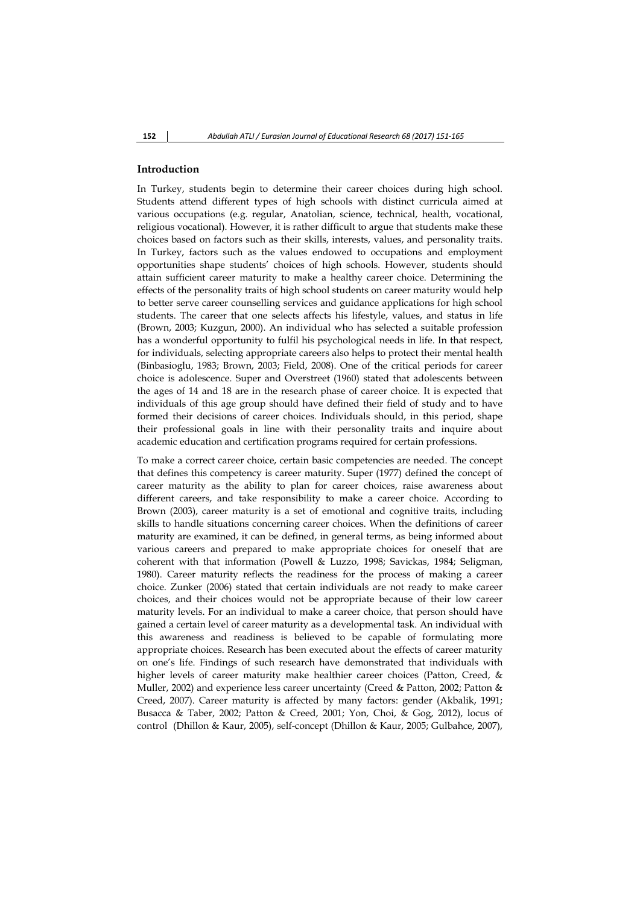## **Introduction**

In Turkey, students begin to determine their career choices during high school. Students attend different types of high schools with distinct curricula aimed at various occupations (e.g. regular, Anatolian, science, technical, health, vocational, religious vocational). However, it is rather difficult to argue that students make these choices based on factors such as their skills, interests, values, and personality traits. In Turkey, factors such as the values endowed to occupations and employment opportunities shape students' choices of high schools. However, students should attain sufficient career maturity to make a healthy career choice. Determining the effects of the personality traits of high school students on career maturity would help to better serve career counselling services and guidance applications for high school students. The career that one selects affects his lifestyle, values, and status in life (Brown, 2003; Kuzgun, 2000). An individual who has selected a suitable profession has a wonderful opportunity to fulfil his psychological needs in life. In that respect, for individuals, selecting appropriate careers also helps to protect their mental health (Binbasioglu, 1983; Brown, 2003; Field, 2008). One of the critical periods for career choice is adolescence. Super and Overstreet (1960) stated that adolescents between the ages of 14 and 18 are in the research phase of career choice. It is expected that individuals of this age group should have defined their field of study and to have formed their decisions of career choices. Individuals should, in this period, shape their professional goals in line with their personality traits and inquire about academic education and certification programs required for certain professions.

To make a correct career choice, certain basic competencies are needed. The concept that defines this competency is career maturity. Super (1977) defined the concept of career maturity as the ability to plan for career choices, raise awareness about different careers, and take responsibility to make a career choice. According to Brown (2003), career maturity is a set of emotional and cognitive traits, including skills to handle situations concerning career choices. When the definitions of career maturity are examined, it can be defined, in general terms, as being informed about various careers and prepared to make appropriate choices for oneself that are coherent with that information (Powell & Luzzo, 1998; Savickas, 1984; Seligman, 1980). Career maturity reflects the readiness for the process of making a career choice. Zunker (2006) stated that certain individuals are not ready to make career choices, and their choices would not be appropriate because of their low career maturity levels. For an individual to make a career choice, that person should have gained a certain level of career maturity as a developmental task. An individual with this awareness and readiness is believed to be capable of formulating more appropriate choices. Research has been executed about the effects of career maturity on one's life. Findings of such research have demonstrated that individuals with higher levels of career maturity make healthier career choices (Patton, Creed, & Muller, 2002) and experience less career uncertainty (Creed & Patton, 2002; Patton & Creed, 2007). Career maturity is affected by many factors: gender (Akbalik, 1991; Busacca & Taber, 2002; Patton & Creed, 2001; Yon, Choi, & Gog, 2012), locus of control (Dhillon & Kaur, 2005), self-concept (Dhillon & Kaur, 2005; Gulbahce, 2007),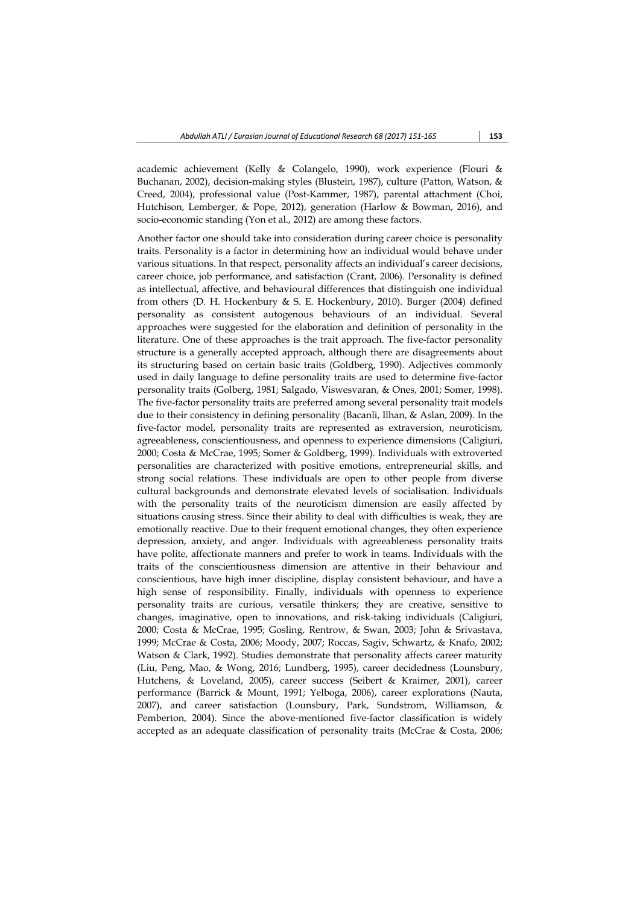academic achievement (Kelly & Colangelo, 1990), work experience (Flouri & Buchanan, 2002), decision-making styles (Blustein, 1987), culture (Patton, Watson, & Creed, 2004), professional value (Post-Kammer, 1987), parental attachment (Choi, Hutchison, Lemberger, & Pope, 2012), generation (Harlow & Bowman, 2016), and socio-economic standing (Yon et al., 2012) are among these factors.

Another factor one should take into consideration during career choice is personality traits. Personality is a factor in determining how an individual would behave under various situations. In that respect, personality affects an individual's career decisions, career choice, job performance, and satisfaction (Crant, 2006). Personality is defined as intellectual, affective, and behavioural differences that distinguish one individual from others (D. H. Hockenbury & S. E. Hockenbury, 2010). Burger (2004) defined personality as consistent autogenous behaviours of an individual. Several approaches were suggested for the elaboration and definition of personality in the literature. One of these approaches is the trait approach. The five-factor personality structure is a generally accepted approach, although there are disagreements about its structuring based on certain basic traits (Goldberg, 1990). Adjectives commonly used in daily language to define personality traits are used to determine five-factor personality traits (Golberg, 1981; Salgado, Viswesvaran, & Ones, 2001; Somer, 1998). The five-factor personality traits are preferred among several personality trait models due to their consistency in defining personality (Bacanli, Ilhan, & Aslan, 2009). In the five-factor model, personality traits are represented as extraversion, neuroticism, agreeableness, conscientiousness, and openness to experience dimensions (Caligiuri, 2000; Costa & McCrae, 1995; Somer & Goldberg, 1999). Individuals with extroverted personalities are characterized with positive emotions, entrepreneurial skills, and strong social relations. These individuals are open to other people from diverse cultural backgrounds and demonstrate elevated levels of socialisation. Individuals with the personality traits of the neuroticism dimension are easily affected by situations causing stress. Since their ability to deal with difficulties is weak, they are emotionally reactive. Due to their frequent emotional changes, they often experience depression, anxiety, and anger. Individuals with agreeableness personality traits have polite, affectionate manners and prefer to work in teams. Individuals with the traits of the conscientiousness dimension are attentive in their behaviour and conscientious, have high inner discipline, display consistent behaviour, and have a high sense of responsibility. Finally, individuals with openness to experience personality traits are curious, versatile thinkers; they are creative, sensitive to changes, imaginative, open to innovations, and risk-taking individuals (Caligiuri, 2000; Costa & McCrae, 1995; Gosling, Rentrow, & Swan, 2003; John & Srivastava, 1999; McCrae & Costa, 2006; Moody, 2007; Roccas, Sagiv, Schwartz, & Knafo, 2002; Watson & Clark, 1992). Studies demonstrate that personality affects career maturity (Liu, Peng, Mao, & Wong, 2016; Lundberg, 1995), career decidedness (Lounsbury, Hutchens, & Loveland, 2005), career success (Seibert & Kraimer, 2001), career performance (Barrick & Mount, 1991; Yelboga, 2006), career explorations (Nauta, 2007), and career satisfaction (Lounsbury, Park, Sundstrom, Williamson, & Pemberton, 2004). Since the above-mentioned five-factor classification is widely accepted as an adequate classification of personality traits (McCrae & Costa, 2006;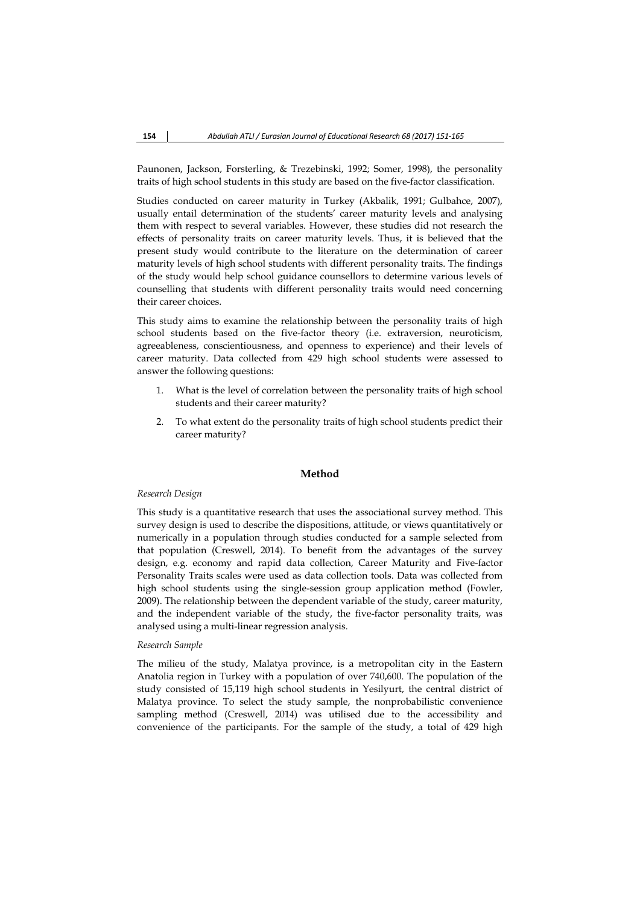Paunonen, Jackson, Forsterling, & Trezebinski, 1992; Somer, 1998), the personality traits of high school students in this study are based on the five-factor classification.

Studies conducted on career maturity in Turkey (Akbalik, 1991; Gulbahce, 2007), usually entail determination of the students' career maturity levels and analysing them with respect to several variables. However, these studies did not research the effects of personality traits on career maturity levels. Thus, it is believed that the present study would contribute to the literature on the determination of career maturity levels of high school students with different personality traits. The findings of the study would help school guidance counsellors to determine various levels of counselling that students with different personality traits would need concerning their career choices.

This study aims to examine the relationship between the personality traits of high school students based on the five-factor theory (i.e. extraversion, neuroticism, agreeableness, conscientiousness, and openness to experience) and their levels of career maturity. Data collected from 429 high school students were assessed to answer the following questions:

- 1. What is the level of correlation between the personality traits of high school students and their career maturity?
- 2. To what extent do the personality traits of high school students predict their career maturity?

### **Method**

#### *Research Design*

This study is a quantitative research that uses the associational survey method. This survey design is used to describe the dispositions, attitude, or views quantitatively or numerically in a population through studies conducted for a sample selected from that population (Creswell, 2014). To benefit from the advantages of the survey design, e.g. economy and rapid data collection, Career Maturity and Five-factor Personality Traits scales were used as data collection tools. Data was collected from high school students using the single-session group application method (Fowler, 2009). The relationship between the dependent variable of the study, career maturity, and the independent variable of the study, the five-factor personality traits, was analysed using a multi-linear regression analysis.

## *Research Sample*

The milieu of the study, Malatya province, is a metropolitan city in the Eastern Anatolia region in Turkey with a population of over 740,600. The population of the study consisted of 15,119 high school students in Yesilyurt, the central district of Malatya province. To select the study sample, the nonprobabilistic convenience sampling method (Creswell, 2014) was utilised due to the accessibility and convenience of the participants. For the sample of the study, a total of 429 high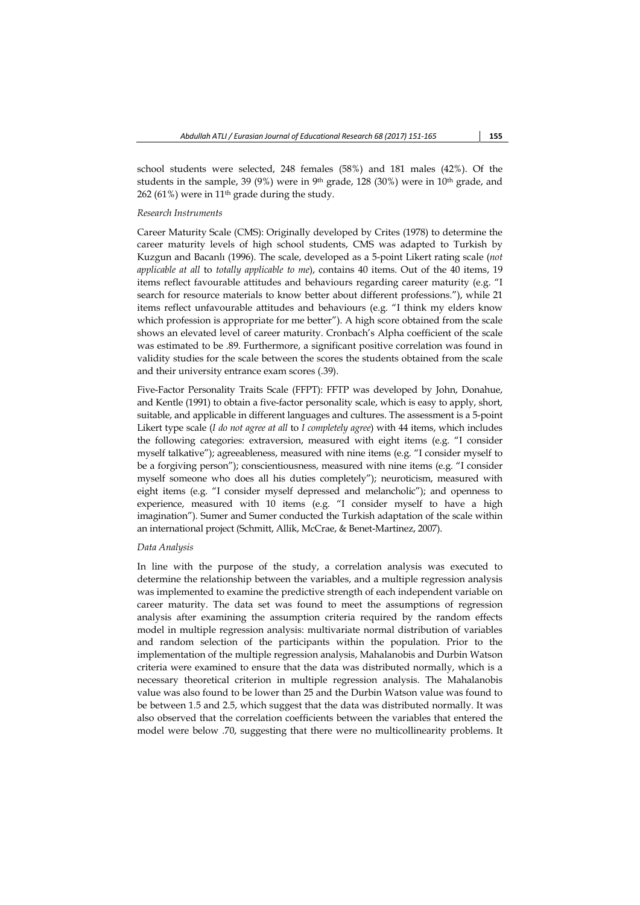school students were selected, 248 females (58%) and 181 males (42%). Of the students in the sample, 39 (9%) were in 9<sup>th</sup> grade, 128 (30%) were in 10<sup>th</sup> grade, and 262 (61%) were in 11th grade during the study.

#### *Research Instruments*

Career Maturity Scale (CMS): Originally developed by Crites (1978) to determine the career maturity levels of high school students, CMS was adapted to Turkish by Kuzgun and Bacanlı (1996). The scale, developed as a 5-point Likert rating scale (*not applicable at all* to *totally applicable to me*), contains 40 items. Out of the 40 items, 19 items reflect favourable attitudes and behaviours regarding career maturity (e.g. "I search for resource materials to know better about different professions."), while 21 items reflect unfavourable attitudes and behaviours (e.g. "I think my elders know which profession is appropriate for me better"). A high score obtained from the scale shows an elevated level of career maturity. Cronbach's Alpha coefficient of the scale was estimated to be .89. Furthermore, a significant positive correlation was found in validity studies for the scale between the scores the students obtained from the scale and their university entrance exam scores (.39).

Five-Factor Personality Traits Scale (FFPT): FFTP was developed by John, Donahue, and Kentle (1991) to obtain a five-factor personality scale, which is easy to apply, short, suitable, and applicable in different languages and cultures. The assessment is a 5-point Likert type scale (*I do not agree at all* to *I completely agree*) with 44 items, which includes the following categories: extraversion, measured with eight items (e.g. "I consider myself talkative"); agreeableness, measured with nine items (e.g. "I consider myself to be a forgiving person"); conscientiousness, measured with nine items (e.g. "I consider myself someone who does all his duties completely"); neuroticism, measured with eight items (e.g. "I consider myself depressed and melancholic"); and openness to experience, measured with 10 items (e.g. "I consider myself to have a high imagination"). Sumer and Sumer conducted the Turkish adaptation of the scale within an international project (Schmitt, Allik, McCrae, & Benet-Martinez, 2007).

#### *Data Analysis*

In line with the purpose of the study, a correlation analysis was executed to determine the relationship between the variables, and a multiple regression analysis was implemented to examine the predictive strength of each independent variable on career maturity. The data set was found to meet the assumptions of regression analysis after examining the assumption criteria required by the random effects model in multiple regression analysis: multivariate normal distribution of variables and random selection of the participants within the population. Prior to the implementation of the multiple regression analysis, Mahalanobis and Durbin Watson criteria were examined to ensure that the data was distributed normally, which is a necessary theoretical criterion in multiple regression analysis. The Mahalanobis value was also found to be lower than 25 and the Durbin Watson value was found to be between 1.5 and 2.5, which suggest that the data was distributed normally. It was also observed that the correlation coefficients between the variables that entered the model were below .70, suggesting that there were no multicollinearity problems. It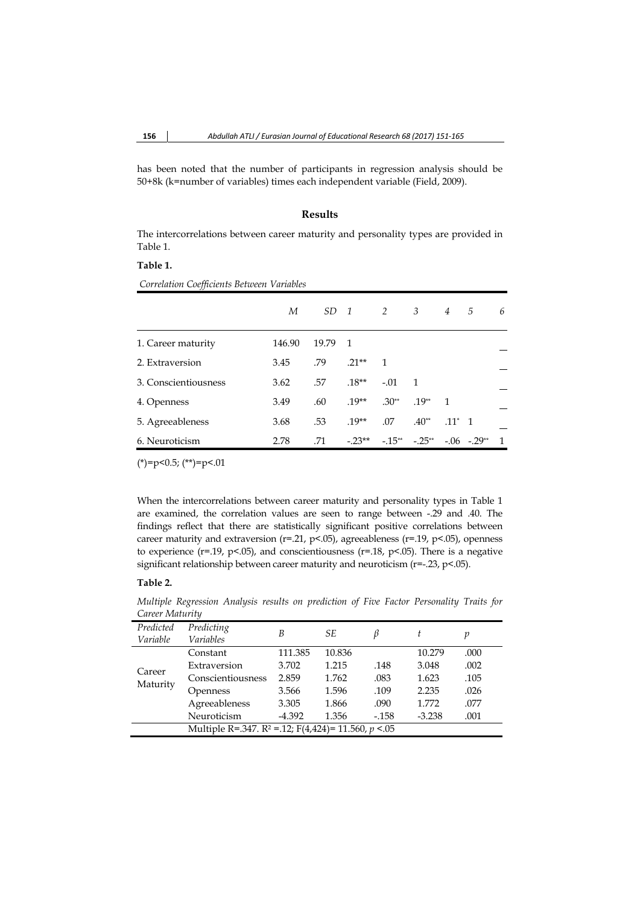has been noted that the number of participants in regression analysis should be 50+8k (k=number of variables) times each independent variable (Field, 2009).

## **Results**

The intercorrelations between career maturity and personality types are provided in Table 1.

## **Table 1.**

 *Correlation Coefficients Between Variables* 

|                      | М      | $SD \quad 1$ |                | $\overline{2}$ | $\overline{\mathbf{3}}$ | $\overline{4}$ | .5              | 6              |
|----------------------|--------|--------------|----------------|----------------|-------------------------|----------------|-----------------|----------------|
| 1. Career maturity   | 146.90 | 19.79        | $\overline{1}$ |                |                         |                |                 |                |
| 2. Extraversion      | 3.45   | .79          | $21**$         | $\overline{1}$ |                         |                |                 |                |
| 3. Conscientiousness | 3.62   | .57          | $.18**$        | $-.01$         | $\overline{1}$          |                |                 |                |
| 4. Openness          | 3.49   | .60          | $.19**$        | $.30**$        | $.19**$                 | $\mathbf{1}$   |                 |                |
| 5. Agreeableness     | 3.68   | .53          | $.19**$        | .07            | $.40**$                 | $.11^*$ 1      |                 |                |
| 6. Neuroticism       | 2.78   | .71          | $-23**$        | $-15**$        | $-.25**$                |                | $-.06$ $-.29**$ | $\overline{1}$ |

 $(*)=p<0.5;$   $(*)=p<.01$ 

When the intercorrelations between career maturity and personality types in Table 1 are examined, the correlation values are seen to range between -.29 and .40. The findings reflect that there are statistically significant positive correlations between career maturity and extraversion ( $r=0.21$ ,  $p<0.05$ ), agreeableness ( $r=0.19$ ,  $p<0.05$ ), openness to experience ( $r=$ .19,  $p$ <.05), and conscientiousness ( $r=$ .18,  $p$ <.05). There is a negative significant relationship between career maturity and neuroticism (r=-.23, p<.05).

## **Table 2.**

*Multiple Regression Analysis results on prediction of Five Factor Personality Traits for Career Maturity* 

| Predicted          | Predicting                                                          | B        | SE.    | ß      | t        |      |  |  |
|--------------------|---------------------------------------------------------------------|----------|--------|--------|----------|------|--|--|
| Variable           | <b>Variables</b>                                                    |          |        |        |          | p    |  |  |
| Career<br>Maturity | Constant                                                            | 111.385  | 10.836 |        | 10.279   | .000 |  |  |
|                    | Extraversion                                                        | 3.702    | 1.215  | .148   | 3.048    | .002 |  |  |
|                    | Conscientiousness                                                   | 2.859    | 1.762  | .083   | 1.623    | .105 |  |  |
|                    | Openness                                                            | 3.566    | 1.596  | .109   | 2.235    | .026 |  |  |
|                    | Agreeableness                                                       | 3.305    | 1.866  | .090   | 1.772    | .077 |  |  |
|                    | Neuroticism                                                         | $-4.392$ | 1.356  | $-158$ | $-3.238$ | .001 |  |  |
|                    | Multiple R=.347. R <sup>2</sup> = .12; F(4,424)= 11.560, $p < 0.05$ |          |        |        |          |      |  |  |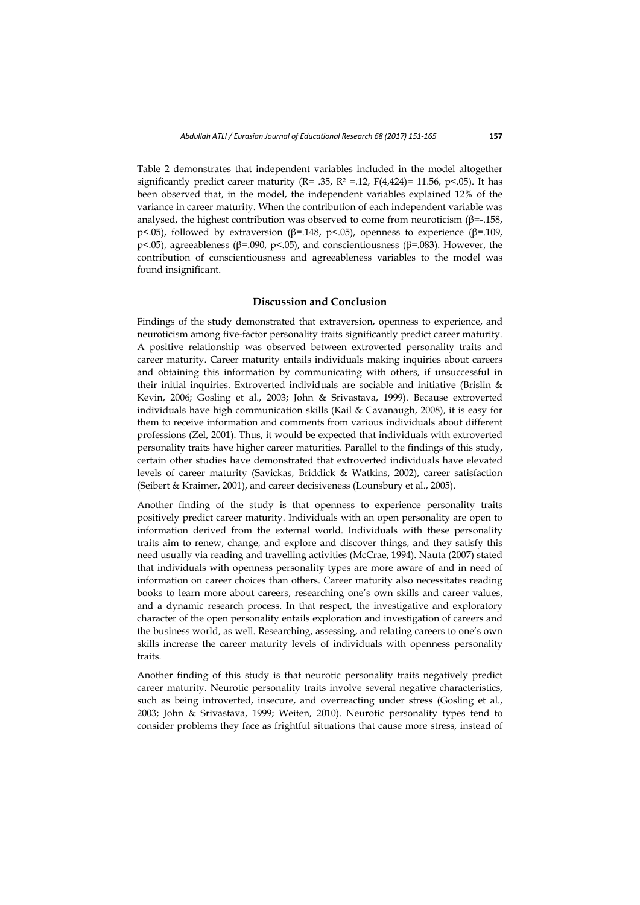Table 2 demonstrates that independent variables included in the model altogether significantly predict career maturity ( $R = .35$ ,  $R^2 = .12$ ,  $F(4.424) = 11.56$ ,  $p < .05$ ). It has been observed that, in the model, the independent variables explained 12% of the variance in career maturity. When the contribution of each independent variable was analysed, the highest contribution was observed to come from neuroticism  $(\beta = -158)$ , p<.05), followed by extraversion (β=.148, p<.05), openness to experience (β=.109, p<.05), agreeableness (β=.090, p<.05), and conscientiousness (β=.083). However, the contribution of conscientiousness and agreeableness variables to the model was found insignificant.

## **Discussion and Conclusion**

Findings of the study demonstrated that extraversion, openness to experience, and neuroticism among five-factor personality traits significantly predict career maturity. A positive relationship was observed between extroverted personality traits and career maturity. Career maturity entails individuals making inquiries about careers and obtaining this information by communicating with others, if unsuccessful in their initial inquiries. Extroverted individuals are sociable and initiative (Brislin & Kevin, 2006; Gosling et al., 2003; John & Srivastava, 1999). Because extroverted individuals have high communication skills (Kail & Cavanaugh, 2008), it is easy for them to receive information and comments from various individuals about different professions (Zel, 2001). Thus, it would be expected that individuals with extroverted personality traits have higher career maturities. Parallel to the findings of this study, certain other studies have demonstrated that extroverted individuals have elevated levels of career maturity (Savickas, Briddick & Watkins, 2002), career satisfaction (Seibert & Kraimer, 2001), and career decisiveness (Lounsbury et al., 2005).

Another finding of the study is that openness to experience personality traits positively predict career maturity. Individuals with an open personality are open to information derived from the external world. Individuals with these personality traits aim to renew, change, and explore and discover things, and they satisfy this need usually via reading and travelling activities (McCrae, 1994). Nauta (2007) stated that individuals with openness personality types are more aware of and in need of information on career choices than others. Career maturity also necessitates reading books to learn more about careers, researching one's own skills and career values, and a dynamic research process. In that respect, the investigative and exploratory character of the open personality entails exploration and investigation of careers and the business world, as well. Researching, assessing, and relating careers to one's own skills increase the career maturity levels of individuals with openness personality traits.

Another finding of this study is that neurotic personality traits negatively predict career maturity. Neurotic personality traits involve several negative characteristics, such as being introverted, insecure, and overreacting under stress (Gosling et al., 2003; John & Srivastava, 1999; Weiten, 2010). Neurotic personality types tend to consider problems they face as frightful situations that cause more stress, instead of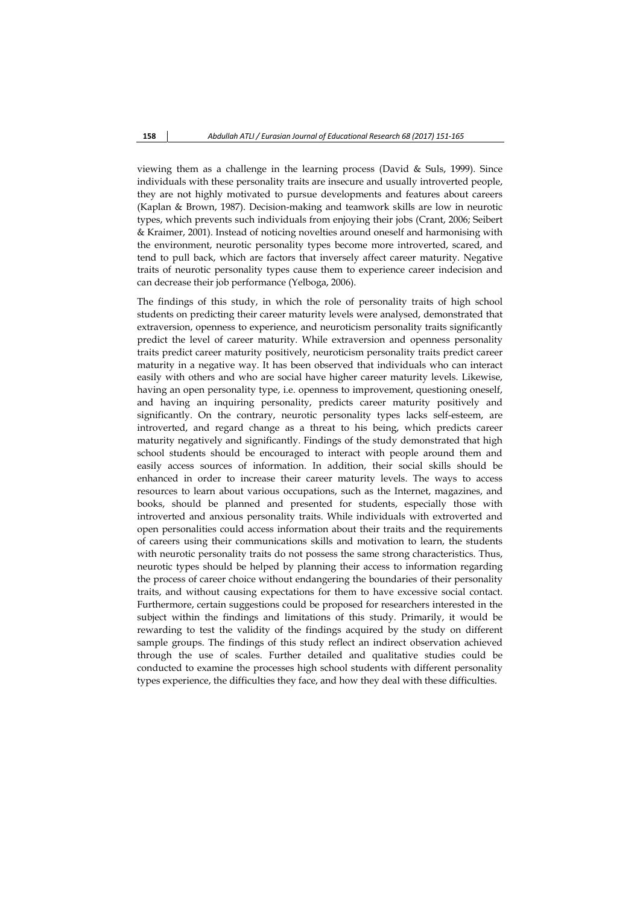viewing them as a challenge in the learning process (David & Suls, 1999). Since individuals with these personality traits are insecure and usually introverted people, they are not highly motivated to pursue developments and features about careers (Kaplan & Brown, 1987). Decision-making and teamwork skills are low in neurotic types, which prevents such individuals from enjoying their jobs (Crant, 2006; Seibert & Kraimer, 2001). Instead of noticing novelties around oneself and harmonising with the environment, neurotic personality types become more introverted, scared, and tend to pull back, which are factors that inversely affect career maturity. Negative traits of neurotic personality types cause them to experience career indecision and can decrease their job performance (Yelboga, 2006).

The findings of this study, in which the role of personality traits of high school students on predicting their career maturity levels were analysed, demonstrated that extraversion, openness to experience, and neuroticism personality traits significantly predict the level of career maturity. While extraversion and openness personality traits predict career maturity positively, neuroticism personality traits predict career maturity in a negative way. It has been observed that individuals who can interact easily with others and who are social have higher career maturity levels. Likewise, having an open personality type, i.e. openness to improvement, questioning oneself, and having an inquiring personality, predicts career maturity positively and significantly. On the contrary, neurotic personality types lacks self-esteem, are introverted, and regard change as a threat to his being, which predicts career maturity negatively and significantly. Findings of the study demonstrated that high school students should be encouraged to interact with people around them and easily access sources of information. In addition, their social skills should be enhanced in order to increase their career maturity levels. The ways to access resources to learn about various occupations, such as the Internet, magazines, and books, should be planned and presented for students, especially those with introverted and anxious personality traits. While individuals with extroverted and open personalities could access information about their traits and the requirements of careers using their communications skills and motivation to learn, the students with neurotic personality traits do not possess the same strong characteristics. Thus, neurotic types should be helped by planning their access to information regarding the process of career choice without endangering the boundaries of their personality traits, and without causing expectations for them to have excessive social contact. Furthermore, certain suggestions could be proposed for researchers interested in the subject within the findings and limitations of this study. Primarily, it would be rewarding to test the validity of the findings acquired by the study on different sample groups. The findings of this study reflect an indirect observation achieved through the use of scales. Further detailed and qualitative studies could be conducted to examine the processes high school students with different personality types experience, the difficulties they face, and how they deal with these difficulties.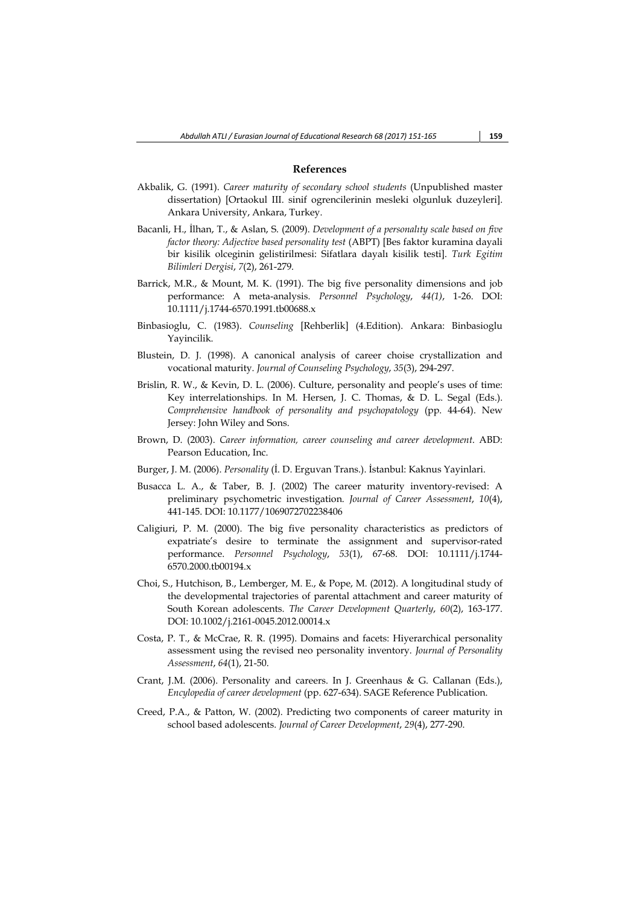## **References**

- Akbalik, G. (1991). *Career maturity of secondary school students* (Unpublished master dissertation) [Ortaokul III. sinif ogrencilerinin mesleki olgunluk duzeyleri]. Ankara University, Ankara, Turkey.
- Bacanli, H., İlhan, T., & Aslan, S. (2009). *Development of a personalıty scale based on five factor theory: Adjective based personality test* (ABPT) [Bes faktor kuramina dayali bir kisilik olceginin gelistirilmesi: Sifatlara dayalı kisilik testi]. *Turk Egitim Bilimleri Dergisi*, *7*(2), 261-279.
- Barrick, M.R., & Mount, M. K. (1991). The big five personality dimensions and job performance: A meta-analysis. *Personnel Psychology*, *44(1)*, 1-26. DOI: 10.1111/j.1744-6570.1991.tb00688.x
- Binbasioglu, C. (1983). *Counseling* [Rehberlik] (4.Edition). Ankara: Binbasioglu Yayincilik.
- Blustein, D. J. (1998). A canonical analysis of career choise crystallization and vocational maturity. *Journal of Counseling Psychology*, *35*(3), 294-297.
- Brislin, R. W., & Kevin, D. L. (2006). Culture, personality and people's uses of time: Key interrelationships. In M. Hersen, J. C. Thomas, & D. L. Segal (Eds.). *Comprehensive handbook of personality and psychopatology* (pp. 44-64). New Jersey: John Wiley and Sons.
- Brown, D. (2003). *Career information, career counseling and career development*. ABD: Pearson Education, Inc.
- Burger, J. M. (2006). *Personality* (İ. D. Erguvan Trans.). İstanbul: Kaknus Yayinlari.
- Busacca L. A., & Taber, B. J. (2002) The career maturity inventory-revised: A preliminary psychometric investigation. *Journal of Career Assessment*, *10*(4), 441-145. DOI: 10.1177/1069072702238406
- Caligiuri, P. M. (2000). The big five personality characteristics as predictors of expatriate's desire to terminate the assignment and supervisor-rated performance. *Personnel Psychology*, *53*(1), 67-68. DOI: 10.1111/j.1744- 6570.2000.tb00194.x
- Choi, S., Hutchison, B., Lemberger, M. E., & Pope, M. (2012). A longitudinal study of the developmental trajectories of parental attachment and career maturity of South Korean adolescents. *The Career Development Quarterly*, *60*(2), 163-177. DOI: 10.1002/j.2161-0045.2012.00014.x
- Costa, P. T., & McCrae, R. R. (1995). Domains and facets: Hiyerarchical personality assessment using the revised neo personality inventory. *Journal of Personality Assessment*, *64*(1), 21-50.
- Crant, J.M. (2006). Personality and careers. In J. Greenhaus & G. Callanan (Eds.), *Encylopedia of career development* (pp. 627-634). SAGE Reference Publication.
- Creed, P.A., & Patton, W. (2002). Predicting two components of career maturity in school based adolescents. *Journal of Career Development*, *29*(4), 277-290.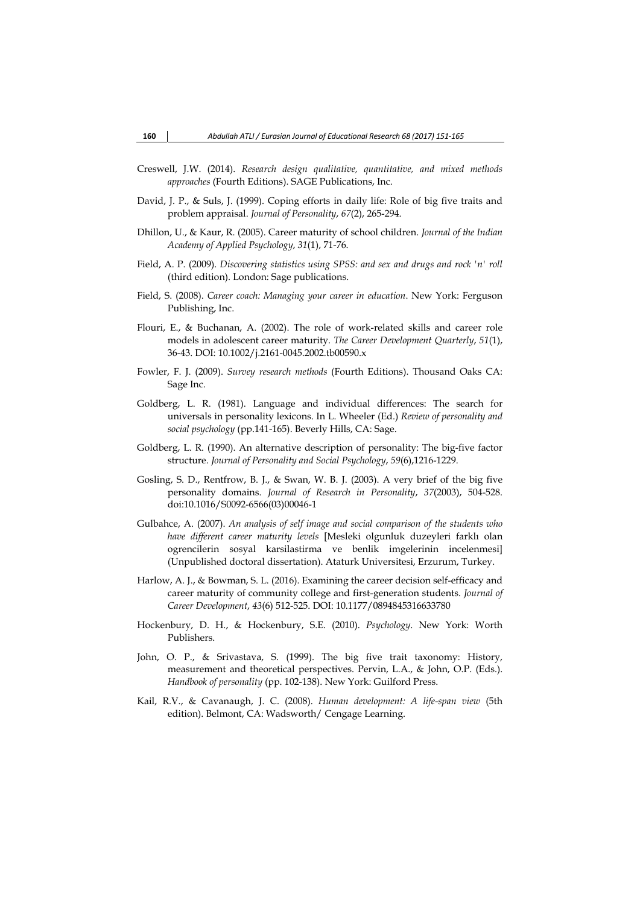- Creswell, J.W. (2014). *Research design qualitative, quantitative, and mixed methods approaches* (Fourth Editions). SAGE Publications, Inc.
- David, J. P., & Suls, J. (1999). Coping efforts in daily life: Role of big five traits and problem appraisal. *Journal of Personality*, *67*(2), 265-294.
- Dhillon, U., & Kaur, R. (2005). Career maturity of school children. *Journal of the Indian Academy of Applied Psychology*, *31*(1), 71-76.
- Field, A. P. (2009). *Discovering statistics using SPSS: and sex and drugs and rock 'n' roll* (third edition). London: Sage publications.
- Field, S. (2008). *Career coach: Managing your career in education*. New York: Ferguson Publishing, Inc.
- Flouri, E., & Buchanan, A. (2002). The role of work-related skills and career role models in adolescent career maturity. *The Career Development Quarterly*, *51*(1), 36-43. DOI: 10.1002/j.2161-0045.2002.tb00590.x
- Fowler, F. J. (2009). *Survey research methods* (Fourth Editions). Thousand Oaks CA: Sage Inc.
- Goldberg, L. R. (1981). Language and individual differences: The search for universals in personality lexicons. In L. Wheeler (Ed.) *Review of personality and social psychology* (pp.141-165). Beverly Hills, CA: Sage.
- Goldberg, L. R. (1990). An alternative description of personality: The big-five factor structure. *Journal of Personality and Social Psychology*, *59*(6),1216-1229.
- Gosling, S. D., Rentfrow, B. J., & Swan, W. B. J. (2003). A very brief of the big five personality domains. *Journal of Research in Personality*, *37*(2003), 504-528. doi:10.1016/S0092-6566(03)00046-1
- Gulbahce, A. (2007). *An analysis of self image and social comparison of the students who have different career maturity levels* [Mesleki olgunluk duzeyleri farklı olan ogrencilerin sosyal karsilastirma ve benlik imgelerinin incelenmesi] (Unpublished doctoral dissertation). Ataturk Universitesi, Erzurum, Turkey.
- Harlow, A. J., & Bowman, S. L. (2016). Examining the career decision self-efficacy and career maturity of community college and first-generation students. *Journal of Career Development*, *43*(6) 512-525. DOI: 10.1177/0894845316633780
- Hockenbury, D. H., & Hockenbury, S.E. (2010). *Psychology*. New York: Worth Publishers.
- John, O. P., & Srivastava, S. (1999). The big five trait taxonomy: History, measurement and theoretical perspectives. Pervin, L.A., & John, O.P. (Eds.). *Handbook of personality* (pp. 102-138). New York: Guilford Press.
- Kail, R.V., & Cavanaugh, J. C. (2008). *Human development: A life-span view* (5th edition). Belmont, CA: Wadsworth/ Cengage Learning.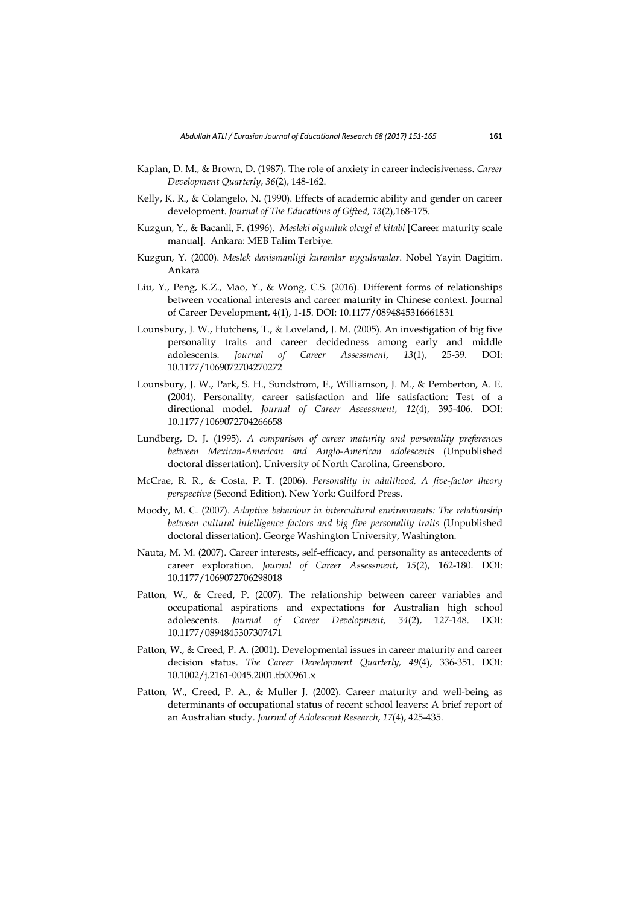- Kaplan, D. M., & Brown, D. (1987). The role of anxiety in career indecisiveness. *Career Development Quarterly*, *36*(2), 148-162.
- Kelly, K. R., & Colangelo, N. (1990). Effects of academic ability and gender on career development. *Journal of The Educations of Gift*e*d*, *13*(2),168-175.
- Kuzgun, Y., & Bacanli, F. (1996). *Mesleki olgunluk olcegi el kitabi* [Career maturity scale manual]. Ankara: MEB Talim Terbiye.
- Kuzgun, Y. (2000). *Meslek danismanligi kuramlar uygulamalar*. Nobel Yayin Dagitim. Ankara
- Liu, Y., Peng, K.Z., Mao, Y., & Wong, C.S. (2016). Different forms of relationships between vocational interests and career maturity in Chinese context. Journal of Career Development, 4(1), 1-15. DOI: 10.1177/0894845316661831
- Lounsbury, J. W., Hutchens, T., & Loveland, J. M. (2005). An investigation of big five personality traits and career decidedness among early and middle adolescents. *Journal of Career Assessment*, *13*(1), 25-39. DOI: 10.1177/1069072704270272
- Lounsbury, J. W., Park, S. H., Sundstrom, E., Williamson, J. M., & Pemberton, A. E. (2004). Personality, career satisfaction and life satisfaction: Test of a directional model. *Journal of Career Assessment*, *12*(4), 395-406. DOI: 10.1177/1069072704266658
- Lundberg, D. J. (1995). *A comparison of career maturity and personality preferences between Mexican-American and Anglo-American adolescents* (Unpublished doctoral dissertation). University of North Carolina, Greensboro.
- McCrae, R. R., & Costa, P. T. (2006). *Personality in adulthood, A five-factor theory perspective* (Second Edition). New York: Guilford Press.
- Moody, M. C. (2007). *Adaptive behaviour in intercultural environments: The relationship between cultural intelligence factors and big five personality traits* (Unpublished doctoral dissertation). George Washington University, Washington.
- Nauta, M. M. (2007). Career interests, self-efficacy, and personality as antecedents of career exploration. *Journal of Career Assessment*, *15*(2), 162-180. DOI: 10.1177/1069072706298018
- Patton, W., & Creed, P. (2007). The relationship between career variables and occupational aspirations and expectations for Australian high school adolescents. *Journal of Career Development*, *34*(2), 127-148. DOI: 10.1177/0894845307307471
- Patton, W., & Creed, P. A. (2001). Developmental issues in career maturity and career decision status. *The Career Development Quarterly, 49*(4), 336-351. DOI: 10.1002/j.2161-0045.2001.tb00961.x
- Patton, W., Creed, P. A., & Muller J. (2002). Career maturity and well-being as determinants of occupational status of recent school leavers: A brief report of an Australian study. *Journal of Adolescent Research*, *17*(4), 425-435.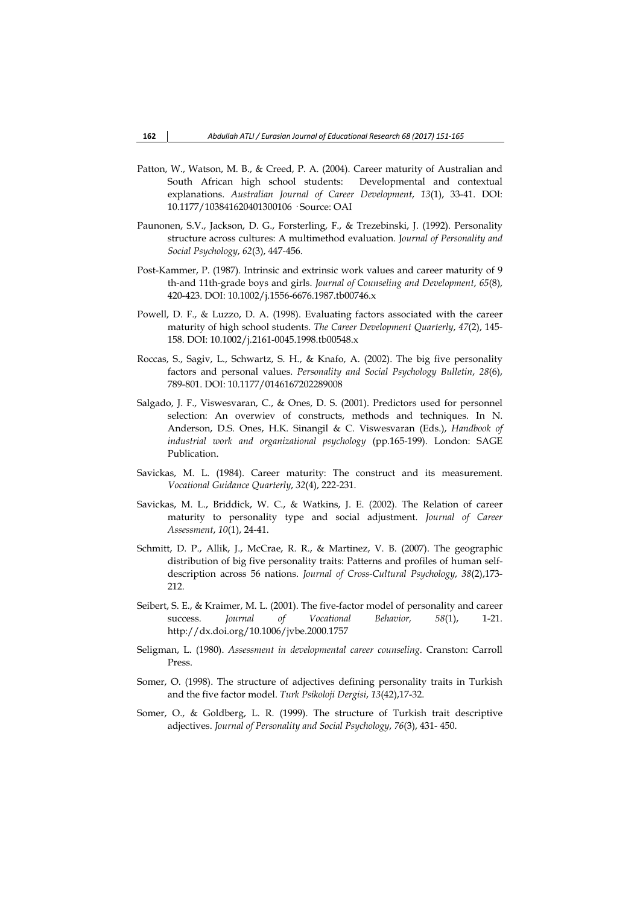- Patton, W., Watson, M. B., & Creed, P. A. (2004). Career maturity of Australian and South African high school students: Developmental and contextual explanations. *Australian Journal of Career Development*, *13*(1), 33-41. DOI: 10.1177/103841620401300106 · Source: OAI
- Paunonen, S.V., Jackson, D. G., Forsterling, F., & Trezebinski, J. (1992). Personality structure across cultures: A multimethod evaluation. J*ournal of Personality and Social Psychology*, *62*(3), 447-456.
- Post-Kammer, P. (1987). Intrinsic and extrinsic work values and career maturity of 9 th-and 11th-grade boys and girls. *Journal of Counseling and Development*, *65*(8), 420-423. DOI: 10.1002/j.1556-6676.1987.tb00746.x
- Powell, D. F., & Luzzo, D. A. (1998). Evaluating factors associated with the career maturity of high school students. *The Career Development Quarterly*, *47*(2), 145- 158. DOI: 10.1002/j.2161-0045.1998.tb00548.x
- Roccas, S., Sagiv, L., Schwartz, S. H., & Knafo, A. (2002). The big five personality factors and personal values. *Personality and Social Psychology Bulletin*, *28*(6), 789-801. DOI: 10.1177/0146167202289008
- Salgado, J. F., Viswesvaran, C., & Ones, D. S. (2001). Predictors used for personnel selection: An overwiev of constructs, methods and techniques. In N. Anderson, D.S. Ones, H.K. Sinangil & C. Viswesvaran (Eds.), *Handbook of industrial work and organizational psychology* (pp.165-199). London: SAGE Publication.
- Savickas, M. L. (1984). Career maturity: The construct and its measurement. *Vocational Guidance Quarterly*, *32*(4), 222-231.
- Savickas, M. L., Briddick, W. C., & Watkins, J. E. (2002). The Relation of career maturity to personality type and social adjustment. *Journal of Career Assessment*, *10*(1), 24-41.
- Schmitt, D. P., Allik, J., McCrae, R. R., & Martinez, V. B. (2007). The geographic distribution of big five personality traits: Patterns and profiles of human selfdescription across 56 nations. *Journal of Cross-Cultural Psychology*, *38*(2),173- 212.
- Seibert, S. E., & Kraimer, M. L. (2001). The five-factor model of personality and career success. *Journal of Vocational Behavior, 58*(1), 1-21. http://dx.doi.org/10.1006/jvbe.2000.1757
- Seligman, L. (1980). *Assessment in developmental career counseling*. Cranston: Carroll Press.
- Somer, O. (1998). The structure of adjectives defining personality traits in Turkish and the five factor model. *Turk Psikoloji Dergisi*, *13*(42),17-32.
- Somer, O., & Goldberg, L. R. (1999). The structure of Turkish trait descriptive adjectives. *Journal of Personality and Social Psychology*, *76*(3), 431- 450.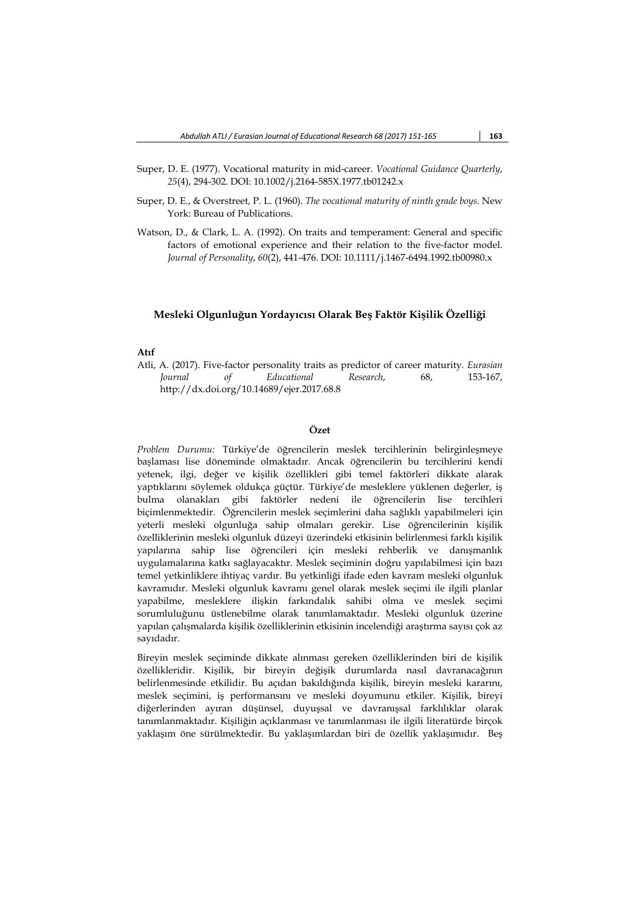- Super, D. E. (1977). Vocational maturity in mid-career. *Vocational Guidance Quarterly*, *25*(4), 294-302. DOI: 10.1002/j.2164-585X.1977.tb01242.x
- Super, D. E., & Overstreet, P. L. (1960). *The vocational maturity of ninth grade boys.* New York: Bureau of Publications.
- Watson, D., & Clark, L. A. (1992). On traits and temperament: General and specific factors of emotional experience and their relation to the five-factor model. *Journal of Personality*, *60*(2), 441-476. DOI: 10.1111/j.1467-6494.1992.tb00980.x

## **Mesleki Olgunluğun Yordayıcısı Olarak Beş Faktör Kişilik Özelliği**

### **Atıf**

Atli, A. (2017). Five-factor personality traits as predictor of career maturity. *Eurasian Journal of Educational Research*, 68, 153-167, http://dx.doi.org/10.14689/ejer.2017.68.8

# **Özet**

*Problem Durumu:* Türkiye'de öğrencilerin meslek tercihlerinin belirginleşmeye başlaması lise döneminde olmaktadır. Ancak öğrencilerin bu tercihlerini kendi yetenek, ilgi, değer ve kişilik özellikleri gibi temel faktörleri dikkate alarak yaptıklarını söylemek oldukça güçtür. Türkiye'de mesleklere yüklenen değerler, iş bulma olanakları gibi faktörler nedeni ile öğrencilerin lise tercihleri biçimlenmektedir. Öğrencilerin meslek seçimlerini daha sağlıklı yapabilmeleri için yeterli mesleki olgunluğa sahip olmaları gerekir. Lise öğrencilerinin kişilik özelliklerinin mesleki olgunluk düzeyi üzerindeki etkisinin belirlenmesi farklı kişilik yapılarına sahip lise öğrencileri için mesleki rehberlik ve danışmanlık uygulamalarına katkı sağlayacaktır. Meslek seçiminin doğru yapılabilmesi için bazı temel yetkinliklere ihtiyaç vardır. Bu yetkinliği ifade eden kavram mesleki olgunluk kavramıdır. Mesleki olgunluk kavramı genel olarak meslek seçimi ile ilgili planlar yapabilme, mesleklere ilişkin farkındalık sahibi olma ve meslek seçimi sorumluluğunu üstlenebilme olarak tanımlamaktadır. Mesleki olgunluk üzerine yapılan çalışmalarda kişilik özelliklerinin etkisinin incelendiği araştırma sayısı çok az sayıdadır.

Bireyin meslek seçiminde dikkate alınması gereken özelliklerinden biri de kişilik özellikleridir. Kişilik, bir bireyin değişik durumlarda nasıl davranacağının belirlenmesinde etkilidir. Bu açıdan bakıldığında kişilik, bireyin mesleki kararını, meslek seçimini, iş performansını ve mesleki doyumunu etkiler. Kişilik, bireyi diğerlerinden ayıran düşünsel, duyuşsal ve davranışsal farklılıklar olarak tanımlanmaktadır. Kişiliğin açıklanması ve tanımlanması ile ilgili literatürde birçok yaklaşım öne sürülmektedir. Bu yaklaşımlardan biri de özellik yaklaşımıdır. Beş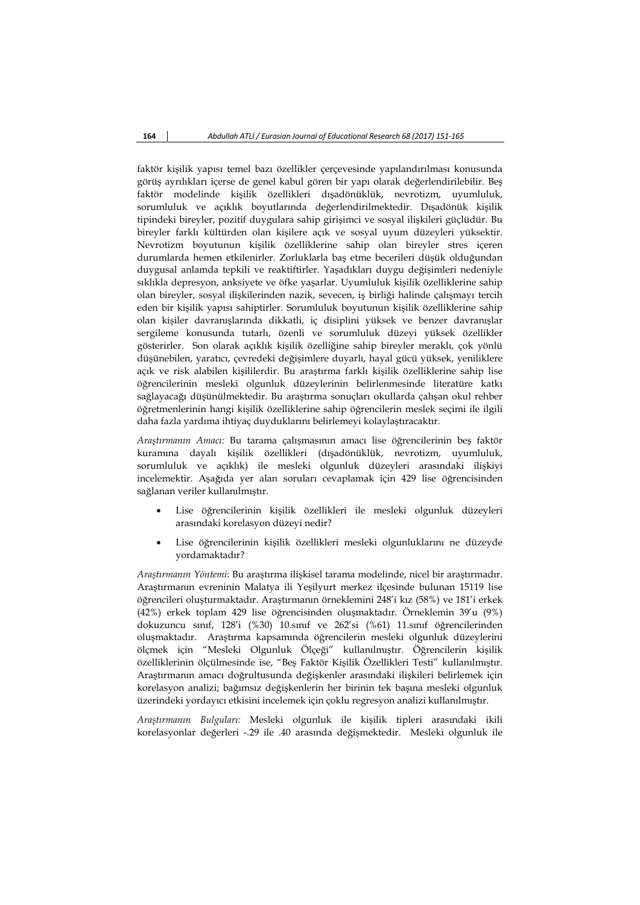faktör kişilik yapısı temel bazı özellikler çerçevesinde yapılandırılması konusunda görüş ayrılıkları içerse de genel kabul gören bir yapı olarak değerlendirilebilir. Beş faktör modelinde kişilik özellikleri dışadönüklük, nevrotizm, uyumluluk, sorumluluk ve açıklık boyutlarında değerlendirilmektedir. Dışadönük kişilik tipindeki bireyler, pozitif duygulara sahip girişimci ve sosyal ilişkileri güçlüdür. Bu bireyler farklı kültürden olan kişilere açık ve sosyal uyum düzeyleri yüksektir. Nevrotizm boyutunun kişilik özelliklerine sahip olan bireyler stres içeren durumlarda hemen etkilenirler. Zorluklarla baş etme becerileri düşük olduğundan duygusal anlamda tepkili ve reaktiftirler. Yaşadıkları duygu değişimleri nedeniyle sıklıkla depresyon, anksiyete ve öfke yaşarlar. Uyumluluk kişilik özelliklerine sahip olan bireyler, sosyal ilişkilerinden nazik, sevecen, iş birliği halinde çalışmayı tercih eden bir kişilik yapısı sahiptirler. Sorumluluk boyutunun kişilik özelliklerine sahip olan kişiler davranışlarında dikkatli, iç disiplini yüksek ve benzer davranışlar sergileme konusunda tutarlı, özenli ve sorumluluk düzeyi yüksek özellikler gösterirler. Son olarak açıklık kişilik özelliğine sahip bireyler meraklı, çok yönlü düşünebilen, yaratıcı, çevredeki değişimlere duyarlı, hayal gücü yüksek, yeniliklere açık ve risk alabilen kişililerdir. Bu araştırma farklı kişilik özelliklerine sahip lise öğrencilerinin mesleki olgunluk düzeylerinin belirlenmesinde literatüre katkı sağlayacağı düşünülmektedir. Bu araştırma sonuçları okullarda çalışan okul rehber öğretmenlerinin hangi kişilik özelliklerine sahip öğrencilerin meslek seçimi ile ilgili daha fazla yardıma ihtiyaç duyduklarını belirlemeyi kolaylaştıracaktır.

*Araştırmanın Amacı:* Bu tarama çalışmasının amacı lise öğrencilerinin beş faktör kuramına dayalı kişilik özellikleri (dışadönüklük, nevrotizm, uyumluluk, sorumluluk ve açıklık) ile mesleki olgunluk düzeyleri arasındaki ilişkiyi incelemektir. Aşağıda yer alan soruları cevaplamak için 429 lise öğrencisinden sağlanan veriler kullanılmıştır.

- Lise öğrencilerinin kişilik özellikleri ile mesleki olgunluk düzeyleri arasındaki korelasyon düzeyi nedir?
- Lise öğrencilerinin kişilik özellikleri mesleki olgunluklarını ne düzeyde yordamaktadır?

*Araştırmanın Yöntemi*: Bu araştırma ilişkisel tarama modelinde, nicel bir araştırmadır. Araştırmanın evreninin Malatya ili Yeşilyurt merkez ilçesinde bulunan 15119 lise öğrencileri oluşturmaktadır. Araştırmanın örneklemini 248'i kız (58%) ve 181'i erkek (42%) erkek toplam 429 lise öğrencisinden oluşmaktadır. Örneklemin 39'u (9%) dokuzuncu sınıf, 128'i (%30) 10.sınıf ve 262'si (%61) 11.sınıf öğrencilerinden oluşmaktadır. Araştırma kapsamında öğrencilerin mesleki olgunluk düzeylerini ölçmek için "Mesleki Olgunluk Ölçeği" kullanılmıştır. Öğrencilerin kişilik özelliklerinin ölçülmesinde ise, "Beş Faktör Kişilik Özellikleri Testi" kullanılmıştır. Araştırmanın amacı doğrultusunda değişkenler arasındaki ilişkileri belirlemek için korelasyon analizi; bağımsız değişkenlerin her birinin tek başına mesleki olgunluk üzerindeki yordayıcı etkisini incelemek için çoklu regresyon analizi kullanılmıştır.

*Araştırmanın Bulguları:* Mesleki olgunluk ile kişilik tipleri arasındaki ikili korelasyonlar değerleri -.29 ile .40 arasında değişmektedir. Mesleki olgunluk ile